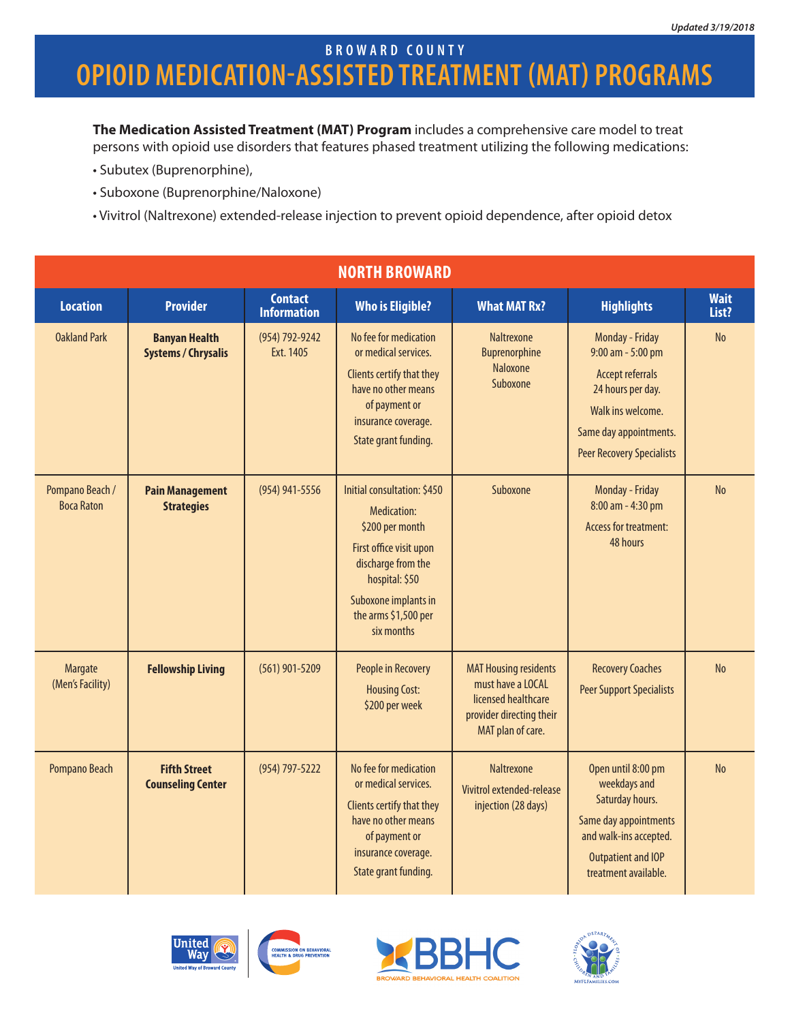### **opioid medication-assisted treatment (MAT) Programs broward county**

**The Medication Assisted Treatment (MAT) Program** includes a comprehensive care model to treat persons with opioid use disorders that features phased treatment utilizing the following medications:

- Subutex (Buprenorphine),
- Suboxone (Buprenorphine/Naloxone)
- Vivitrol (Naltrexone) extended-release injection to prevent opioid dependence, after opioid detox

| <b>NORTH BROWARD</b>                 |                                                    |                                      |                                                                                                                                                                                                |                                                                                                                           |                                                                                                                                                                         |                      |  |
|--------------------------------------|----------------------------------------------------|--------------------------------------|------------------------------------------------------------------------------------------------------------------------------------------------------------------------------------------------|---------------------------------------------------------------------------------------------------------------------------|-------------------------------------------------------------------------------------------------------------------------------------------------------------------------|----------------------|--|
| <b>Location</b>                      | <b>Provider</b>                                    | <b>Contact</b><br><b>Information</b> | <b>Who is Eligible?</b>                                                                                                                                                                        | <b>What MAT Rx?</b>                                                                                                       | <b>Highlights</b>                                                                                                                                                       | <b>Wait</b><br>List? |  |
| <b>Oakland Park</b>                  | <b>Banyan Health</b><br><b>Systems / Chrysalis</b> | (954) 792-9242<br>Ext. 1405          | No fee for medication<br>or medical services.<br>Clients certify that they<br>have no other means<br>of payment or<br>insurance coverage.<br>State grant funding.                              | <b>Naltrexone</b><br>Buprenorphine<br><b>Naloxone</b><br>Suboxone                                                         | Monday - Friday<br>9:00 am - 5:00 pm<br><b>Accept referrals</b><br>24 hours per day.<br>Walk ins welcome.<br>Same day appointments.<br><b>Peer Recovery Specialists</b> | <b>No</b>            |  |
| Pompano Beach /<br><b>Boca Raton</b> | <b>Pain Management</b><br><b>Strategies</b>        | (954) 941-5556                       | Initial consultation: \$450<br>Medication:<br>\$200 per month<br>First office visit upon<br>discharge from the<br>hospital: \$50<br>Suboxone implants in<br>the arms \$1,500 per<br>six months | Suboxone                                                                                                                  | Monday - Friday<br>8:00 am - 4:30 pm<br><b>Access for treatment:</b><br>48 hours                                                                                        | N <sub>o</sub>       |  |
| Margate<br>(Men's Facility)          | <b>Fellowship Living</b>                           | $(561)$ 901-5209                     | People in Recovery<br><b>Housing Cost:</b><br>\$200 per week                                                                                                                                   | <b>MAT Housing residents</b><br>must have a LOCAL<br>licensed healthcare<br>provider directing their<br>MAT plan of care. | <b>Recovery Coaches</b><br><b>Peer Support Specialists</b>                                                                                                              | <b>No</b>            |  |
| Pompano Beach                        | <b>Fifth Street</b><br><b>Counseling Center</b>    | (954) 797-5222                       | No fee for medication<br>or medical services.<br>Clients certify that they<br>have no other means<br>of payment or<br>insurance coverage.<br>State grant funding.                              | <b>Naltrexone</b><br>Vivitrol extended-release<br>injection (28 days)                                                     | Open until 8:00 pm<br>weekdays and<br>Saturday hours.<br>Same day appointments<br>and walk-ins accepted.<br>Outpatient and IOP<br>treatment available.                  | N <sub>0</sub>       |  |



BEHAVIORAL<br>REVENTION



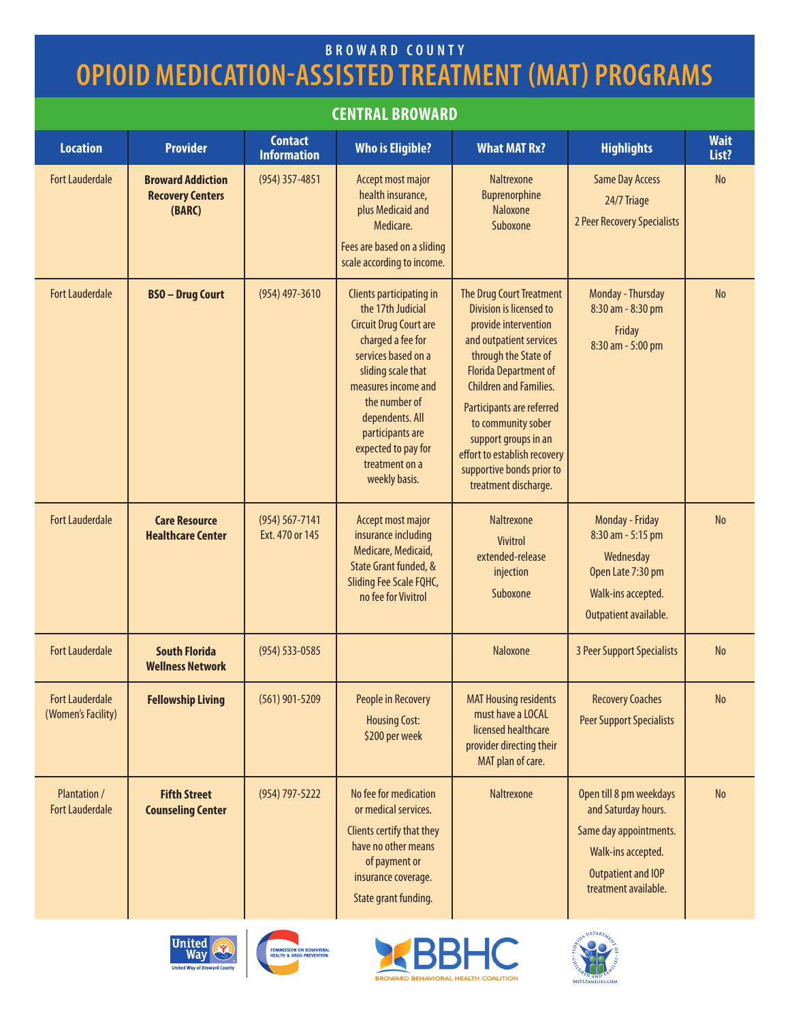# **opioid medication-assisted treatment (MAT) Programs broward county**

### **central broward**

| <b>Location</b>                               | <b>Provider</b>                                               | <b>Contact</b><br><b>Information</b>  | <b>Who is Eligible?</b>                                                                                                                                                                                                                                                                   | <b>What MAT Rx?</b>                                                                                                                                                                                                                                                                                                                                             | <b>Highlights</b>                                                                                                                                   | <b>Wait</b><br>List? |
|-----------------------------------------------|---------------------------------------------------------------|---------------------------------------|-------------------------------------------------------------------------------------------------------------------------------------------------------------------------------------------------------------------------------------------------------------------------------------------|-----------------------------------------------------------------------------------------------------------------------------------------------------------------------------------------------------------------------------------------------------------------------------------------------------------------------------------------------------------------|-----------------------------------------------------------------------------------------------------------------------------------------------------|----------------------|
| <b>Fort Lauderdale</b>                        | <b>Broward Addiction</b><br><b>Recovery Centers</b><br>(BARC) | (954) 357-4851                        | Accept most major<br>health insurance,<br>plus Medicaid and<br>Medicare.<br>Fees are based on a sliding<br>scale according to income.                                                                                                                                                     | <b>Naltrexone</b><br>Buprenorphine<br>Naloxone<br>Suboxone                                                                                                                                                                                                                                                                                                      | <b>Same Day Access</b><br>24/7 Triage<br>2 Peer Recovery Specialists                                                                                | No                   |
| <b>Fort Lauderdale</b>                        | <b>BSO-Drug Court</b>                                         | $(954)$ 497-3610                      | Clients participating in<br>the 17th Judicial<br><b>Circuit Drug Court are</b><br>charged a fee for<br>services based on a<br>sliding scale that<br>measures income and<br>the number of<br>dependents. All<br>participants are<br>expected to pay for<br>treatment on a<br>weekly basis. | The Drug Court Treatment<br>Division is licensed to<br>provide intervention<br>and outpatient services<br>through the State of<br><b>Florida Department of</b><br><b>Children and Families.</b><br>Participants are referred<br>to community sober<br>support groups in an<br>effort to establish recovery<br>supportive bonds prior to<br>treatment discharge. | Monday - Thursday<br>8:30 am - 8:30 pm<br>Friday<br>8:30 am - 5:00 pm                                                                               | <b>No</b>            |
| <b>Fort Lauderdale</b>                        | <b>Care Resource</b><br><b>Healthcare Center</b>              | $(954) 567 - 7141$<br>Ext. 470 or 145 | Accept most major<br>insurance including<br>Medicare, Medicaid,<br>State Grant funded, &<br>Sliding Fee Scale FQHC,<br>no fee for Vivitrol                                                                                                                                                | Naltrexone<br><b>Vivitrol</b><br>extended-release<br>injection<br>Suboxone                                                                                                                                                                                                                                                                                      | Monday - Friday<br>8:30 am - 5:15 pm<br>Wednesday<br>Open Late 7:30 pm<br>Walk-ins accepted.<br>Outpatient available.                               | <b>No</b>            |
| <b>Fort Lauderdale</b>                        | <b>South Florida</b><br><b>Wellness Network</b>               | (954) 533-0585                        |                                                                                                                                                                                                                                                                                           | Naloxone                                                                                                                                                                                                                                                                                                                                                        | 3 Peer Support Specialists                                                                                                                          | <b>No</b>            |
| <b>Fort Lauderdale</b><br>(Women's Facility)  | <b>Fellowship Living</b>                                      | $(561)$ 901-5209                      | <b>People in Recovery</b><br><b>Housing Cost:</b><br>\$200 per week                                                                                                                                                                                                                       | <b>MAT Housing residents</b><br>must have a LOCAL<br>licensed healthcare<br>provider directing their<br>MAT plan of care.                                                                                                                                                                                                                                       | <b>Recovery Coaches</b><br><b>Peer Support Specialists</b>                                                                                          | $\rm No$             |
| <b>Plantation /</b><br><b>Fort Lauderdale</b> | <b>Fifth Street</b><br><b>Counseling Center</b>               | $(954) 797 - 5222$                    | No fee for medication<br>or medical services.<br>Clients certify that they<br>have no other means<br>of payment or<br>insurance coverage.<br>State grant funding.                                                                                                                         | Naltrexone                                                                                                                                                                                                                                                                                                                                                      | Open till 8 pm weekdays<br>and Saturday hours.<br>Same day appointments.<br>Walk-ins accepted.<br><b>Outpatient and IOP</b><br>treatment available. | No                   |